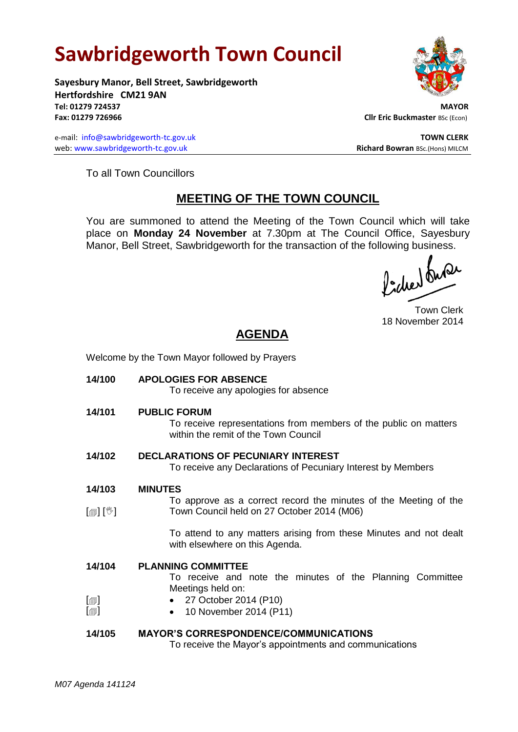# **Sawbridgeworth Town Council**

Welcome by the Town Mayor followed by Prayers



**Sayesbury Manor, Bell Street, Sawbridgeworth Hertfordshire CM21 9AN Tel: 01279 724537 MAYOR Fax: 01279 726966 Cllr Eric Buckmaster BSc (Econ)** 

e-mail: [info@sawbridgeworth-tc.gov.uk](mailto:info@sawbridgeworth-tc.gov.uk) **TOWN CLERK TOWN CLERK** web: www.sawbridgeworth-tc.gov.uk **Richard Bowran** BSc.(Hons) MILCM

To all Town Councillors

## **MEETING OF THE TOWN COUNCIL**

You are summoned to attend the Meeting of the Town Council which will take place on **Monday 24 November** at 7.30pm at The Council Office, Sayesbury Manor, Bell Street, Sawbridgeworth for the transaction of the following business.<br>  $\int_1^{\infty} \int_0^{\infty} \sqrt{\int_0^{\infty}} \sqrt{\int_0^{\infty}} \sqrt{\int_0^{\infty}} \sqrt{\int_0^{\infty}} \sqrt{\int_0^{\infty}} \sqrt{\int_0^{\infty}} \sqrt{\int_0^{\infty}} \sqrt{\int_0^{\infty}} \sqrt{\int_0^{\infty}} \sqrt{\int_0^{\infty}} \sqrt{\int_0^{\in$ 

Town Clerk 18 November 2014

## **AGENDA**

| 14/100                     | <b>APOLOGIES FOR ABSENCE</b><br>To receive any apologies for absence                                                            |
|----------------------------|---------------------------------------------------------------------------------------------------------------------------------|
| 14/101                     | <b>PUBLIC FORUM</b><br>To receive representations from members of the public on matters<br>within the remit of the Town Council |
| 14/102                     | <b>DECLARATIONS OF PECUNIARY INTEREST</b><br>To receive any Declarations of Pecuniary Interest by Members                       |
| 14/103                     | <b>MINUTES</b>                                                                                                                  |
| $\mathbb{D}[\mathbb{D}^1]$ | To approve as a correct record the minutes of the Meeting of the<br>Town Council held on 27 October 2014 (M06)                  |
|                            | To attend to any matters arising from these Minutes and not dealt<br>with elsewhere on this Agenda.                             |
| 14/104                     | <b>PLANNING COMMITTEE</b><br>To receive and note the minutes of the Planning Committee                                          |
| $[\blacksquare]$           | Meetings held on:<br>• 27 October 2014 (P10)                                                                                    |
| $[\blacksquare]$           | 10 November 2014 (P11)                                                                                                          |
| 14/105                     | <b>MAYOR'S CORRESPONDENCE/COMMUNICATIONS</b><br>To receive the Mayor's appointments and communications                          |